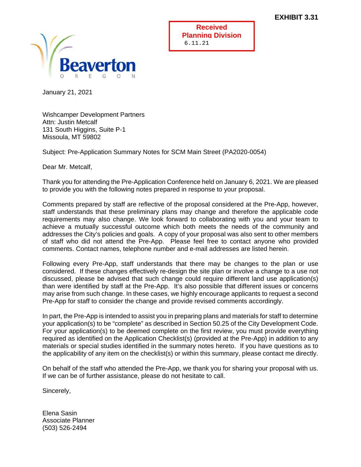

**Received Planning Division** 6.11.21

January 21, 2021

Wishcamper Development Partners Attn: Justin Metcalf 131 South Higgins, Suite P-1 Missoula, MT 59802

Subject: Pre-Application Summary Notes for SCM Main Street (PA2020-0054)

Dear Mr. Metcalf,

Thank you for attending the Pre-Application Conference held on January 6, 2021. We are pleased to provide you with the following notes prepared in response to your proposal.

Comments prepared by staff are reflective of the proposal considered at the Pre-App, however, staff understands that these preliminary plans may change and therefore the applicable code requirements may also change. We look forward to collaborating with you and your team to achieve a mutually successful outcome which both meets the needs of the community and addresses the City's policies and goals. A copy of your proposal was also sent to other members of staff who did not attend the Pre-App. Please feel free to contact anyone who provided comments. Contact names, telephone number and e-mail addresses are listed herein.

Following every Pre-App, staff understands that there may be changes to the plan or use considered. If these changes effectively re-design the site plan or involve a change to a use not discussed, please be advised that such change could require different land use application(s) than were identified by staff at the Pre-App. It's also possible that different issues or concerns may arise from such change. In these cases, we highly encourage applicants to request a second Pre-App for staff to consider the change and provide revised comments accordingly.

In part, the Pre-App is intended to assist you in preparing plans and materials for staff to determine your application(s) to be "complete" as described in Section 50.25 of the City Development Code. For your application(s) to be deemed complete on the first review, you must provide everything required as identified on the Application Checklist(s) (provided at the Pre-App) in addition to any materials or special studies identified in the summary notes hereto. If you have questions as to the applicability of any item on the checklist(s) or within this summary, please contact me directly.

On behalf of the staff who attended the Pre-App, we thank you for sharing your proposal with us. If we can be of further assistance, please do not hesitate to call.

Sincerely,

Elena Sasin Associate Planner (503) 526-2494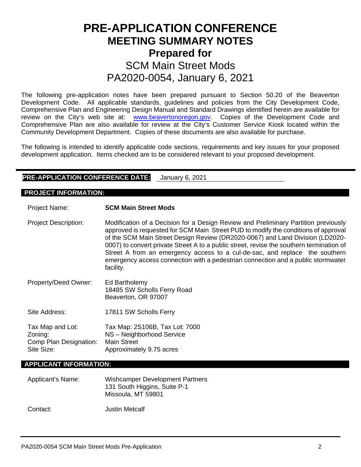# **PRE-APPLICATION CONFERENCE MEETING SUMMARY NOTES Prepared for**  SCM Main Street Mods PA2020-0054, January 6, 2021

The following pre-application notes have been prepared pursuant to Section 50.20 of the Beaverton Development Code. All applicable standards, guidelines and policies from the City Development Code, Comprehensive Plan and Engineering Design Manual and Standard Drawings identified herein are available for review on the City's web site at: [www.beavertonoregon.gov.](http://www.beavertonoregon.gov/) Copies of the Development Code and Comprehensive Plan are also available for review at the City's Customer Service Kiosk located within the Community Development Department. Copies of these documents are also available for purchase.

The following is intended to identify applicable code sections, requirements and key issues for your proposed development application. Items checked are to be considered relevant to your proposed development.

## **PRE-APPLICATION CONFERENCE DATE:** January 6, 2021

#### **PROJECT INFORMATION:**

Project Name: **SCM Main Street Mods** Project Description: Modification of a Decision for a Design Review and Preliminary Partition previously approved is requested for SCM Main Street PUD to modify the conditions of approval of the SCM Main Street Design Review (DR2020-0067) and Land Division (LD2020- 0007) to convert private Street A to a public street, revise the southern termination of Street A from an emergency access to a cul-de-sac, and replace the southern emergency access connection with a pedestrian connection and a public stormwater facility. Property/Deed Owner: Ed Bartholemy 18485 SW Scholls Ferry Road Beaverton, OR 97007 Site Address: 17811 SW Scholls Ferry Tax Map and Lot: Tax Map: 2S106B, Tax Lot: 7000 Zoning: <br>Comp Plan Designation: Main Street Comp Plan Designation: Site Size: Approximately 9.75 acres

#### **APPLICANT INFORMATION:**

| Applicant's Name: | <b>Wishcamper Development Partners</b><br>131 South Higgins, Suite P-1<br>Missoula, MT 59801 |  |
|-------------------|----------------------------------------------------------------------------------------------|--|
| Contact:          | Justin Metcalf                                                                               |  |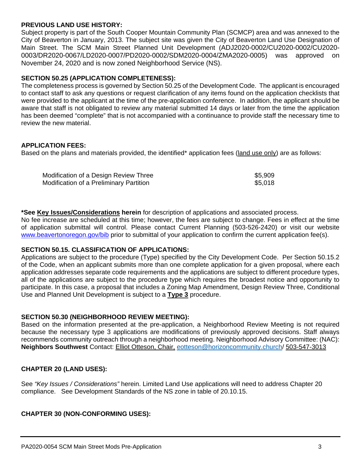#### **PREVIOUS LAND USE HISTORY:**

Subject property is part of the South Cooper Mountain Community Plan (SCMCP) area and was annexed to the City of Beaverton in January, 2013. The subject site was given the City of Beaverton Land Use Designation of Main Street. The SCM Main Street Planned Unit Development (ADJ2020-0002/CU2020-0002/CU2020- 0003/DR2020-0067/LD2020-0007/PD2020-0002/SDM2020-0004/ZMA2020-0005) was approved on November 24, 2020 and is now zoned Neighborhood Service (NS).

#### **SECTION 50.25 (APPLICATION COMPLETENESS):**

The completeness process is governed by Section 50.25 of the Development Code. The applicant is encouraged to contact staff to ask any questions or request clarification of any items found on the application checklists that were provided to the applicant at the time of the pre-application conference. In addition, the applicant should be aware that staff is not obligated to review any material submitted 14 days or later from the time the application has been deemed "complete" that is not accompanied with a continuance to provide staff the necessary time to review the new material.

#### **APPLICATION FEES:**

Based on the plans and materials provided, the identified\* application fees (land use only) are as follows:

| Modification of a Design Review Three   | \$5,909 |
|-----------------------------------------|---------|
| Modification of a Preliminary Partition | \$5,018 |

**\*See Key Issues/Considerations herein** for description of applications and associated process.

No fee increase are scheduled at this time; however, the fees are subject to change. Fees in effect at the time of application submittal will control. Please contact Current Planning (503-526-2420) or visit our website [www.beavertonoregon.gov/bib](http://www.beavertonoregon.gov/bib) prior to submittal of your application to confirm the current application fee(s).

## **SECTION 50.15. CLASSIFICATION OF APPLICATIONS:**

Applications are subject to the procedure (Type) specified by the City Development Code. Per Section 50.15.2 of the Code, when an applicant submits more than one complete application for a given proposal, where each application addresses separate code requirements and the applications are subject to different procedure types, all of the applications are subject to the procedure type which requires the broadest notice and opportunity to participate. In this case, a proposal that includes a Zoning Map Amendment, Design Review Three, Conditional Use and Planned Unit Development is subject to a **Type 3** procedure.

#### **SECTION 50.30 (NEIGHBORHOOD REVIEW MEETING):**

Based on the information presented at the pre-application, a Neighborhood Review Meeting is not required because the necessary type 3 applications are modifications of previously approved decisions. Staff always recommends community outreach through a neighborhood meeting. Neighborhood Advisory Committee: (NAC): **Neighbors Southwest** Contact: Elliot Otteson, Chair, [eotteson@horizoncommunity.church/](mailto:eotteson@horizoncommunity.church) 503-547-3013

#### **CHAPTER 20 (LAND USES):**

See *"Key Issues / Considerations"* herein. Limited Land Use applications will need to address Chapter 20 compliance. See Development Standards of the NS zone in table of 20.10.15.

#### **CHAPTER 30 (NON-CONFORMING USES):**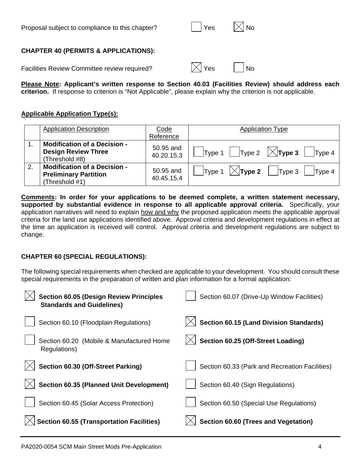| Proposal subject to compliance to this chapter? | │ │Yes | $\boxtimes$ No |
|-------------------------------------------------|--------|----------------|
|-------------------------------------------------|--------|----------------|

# **CHAPTER 40 (PERMITS & APPLICATIONS):**

Facilities Review Committee review required?  $|\times|$  Yes  $|\times|$  No

| $\sim$<br>-- |  |  |  |  |
|--------------|--|--|--|--|
|--------------|--|--|--|--|

**Please Note: Applicant's written response to Section 40.03 (Facilities Review) should address each criterion.** If response to criterion is "Not Applicable", please explain why the criterion is not applicable.

## **Applicable Application Type(s):**

|    | <b>Application Description</b>                                                        | Code                    | <b>Application Type</b>                                              |
|----|---------------------------------------------------------------------------------------|-------------------------|----------------------------------------------------------------------|
|    |                                                                                       | Reference               |                                                                      |
|    | <b>Modification of a Decision -</b><br><b>Design Review Three</b><br>(Threshold #8)   | 50.95 and<br>40.20.15.3 | $\parallel$ Type 2 $\sqrt{\phantom{a}}$ Type 3<br> Type 4<br>Type 1  |
| 2. | <b>Modification of a Decision -</b><br><b>Preliminary Partition</b><br>(Threshold #1) | 50.95 and<br>40.45.15.4 | $\vert$ Type 1 $\vert$ $\chi$ <b>Type 2</b> $\vert$ Type 3<br>Type 4 |

**Comments: In order for your applications to be deemed complete, a written statement necessary, supported by substantial evidence in response to all applicable approval criteria.** Specifically, your application narratives will need to explain how and why the proposed application meets the applicable approval criteria for the land use applications identified above. Approval criteria and development regulations in effect at the time an application is received will control. Approval criteria and development regulations are subject to change.

# **CHAPTER 60 (SPECIAL REGULATIONS):**

The following special requirements when checked are applicable to your development. You should consult these special requirements in the preparation of written and plan information for a formal application:

| <b>Section 60.05 (Design Review Principles</b><br><b>Standards and Guidelines)</b> | Section 60.07 (Drive-Up Window Facilities)     |
|------------------------------------------------------------------------------------|------------------------------------------------|
| Section 60.10 (Floodplain Regulations)                                             | <b>Section 60.15 (Land Division Standards)</b> |
| Section 60.20 (Mobile & Manufactured Home<br>Regulations)                          | Section 60.25 (Off-Street Loading)             |
| Section 60.30 (Off-Street Parking)                                                 | Section 60.33 (Park and Recreation Facilities) |
| Section 60.35 (Planned Unit Development)                                           | Section 60.40 (Sign Regulations)               |
| Section 60.45 (Solar Access Protection)                                            | Section 60.50 (Special Use Regulations)        |
| <b>Section 60.55 (Transportation Facilities)</b>                                   | Section 60.60 (Trees and Vegetation)           |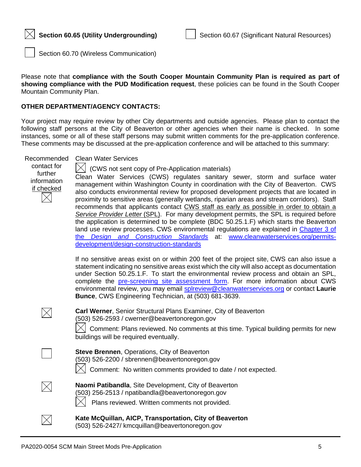

Section 60.70 (Wireless Communication)

Please note that **compliance with the South Cooper Mountain Community Plan is required as part of showing compliance with the PUD Modification request**, these policies can be found in the South Cooper Mountain Community Plan.

#### **OTHER DEPARTMENT/AGENCY CONTACTS:**

Your project may require review by other City departments and outside agencies. Please plan to contact the following staff persons at the City of Beaverton or other agencies when their name is checked. In some instances, some or all of these staff persons may submit written comments for the pre-application conference. These comments may be discussed at the pre-application conference and will be attached to this summary:

Recommended Clean Water Services

contact for further information if checked

 $|\times|$  (CWS not sent copy of Pre-Application materials)

Clean Water Services (CWS) regulates sanitary sewer, storm and surface water management within Washington County in coordination with the City of Beaverton. CWS also conducts environmental review for proposed development projects that are located in proximity to sensitive areas (generally wetlands, riparian areas and stream corridors). Staff recommends that applicants contact CWS staff as early as possible in order to obtain a *Service Provider Letter* (SPL). For many development permits, the SPL is required before the application is determined to be complete (BDC 50.25.1.F) which starts the Beaverton land use review processes. CWS environmental regulations are explained in Chapter 3 of the *[Design and Construction Standards](https://www.cleanwaterservices.org/media/1759/dc-chapter-3.pdf)* at: [www.cleanwaterservices.org/permits](http://www.cleanwaterservices.org/permits-development/design-construction-standards)[development/design-construction-standards](http://www.cleanwaterservices.org/permits-development/design-construction-standards)

If no sensitive areas exist on or within 200 feet of the project site, CWS can also issue a statement indicating no sensitive areas exist which the city will also accept as documentation under Section 50.25.1.F. To start the environmental review process and obtain an SPL, complete the [pre-screening site assessment form.](http://www.cleanwaterservices.org/documents-forms/pre-screen-form/) For more information about CWS environmental review, you may email [splreview@cleanwaterservices.org](mailto:splreview@cleanwaterservices.org) or contact **Laurie Bunce**, CWS Engineering Technician, at (503) 681-3639.

| $\boxtimes$ | Carl Werner, Senior Structural Plans Examiner, City of Beaverton<br>(503) 526-2593 / cwerner@beavertonoregon.gov<br>$\boxtimes$ Comment: Plans reviewed. No comments at this time. Typical building<br>buildings will be required eventually. |
|-------------|-----------------------------------------------------------------------------------------------------------------------------------------------------------------------------------------------------------------------------------------------|
|             |                                                                                                                                                                                                                                               |

| <b>Steve Brennen, Operations, City of Beaverton</b><br>(503) 526-2200 / sbrennen@beavertonoregon.gov |
|------------------------------------------------------------------------------------------------------|
| $\vert\angle\vert$ Comment: No written comments provided to date / not expected.                     |
| Naomi Patibandla, Site Development, City of Beaverton                                                |
| (503) 256-2513 / npatibandla@beavertonoregon.gov                                                     |

Plans reviewed. Written comments not provided.

 $\boxtimes$ 

 $\times$ 

**Kate McQuillan, AICP, Transportation, City of Beaverton** (503) 526-2427/ kmcquillan@beavertonoregon.gov

permits for new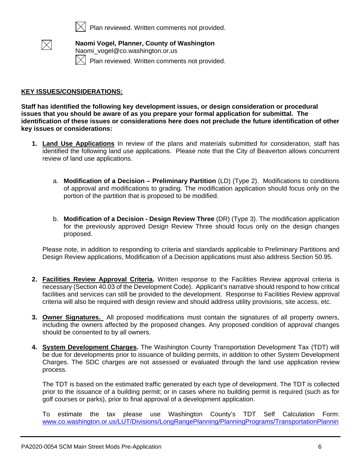

Plan reviewed. Written comments not provided.



**Naomi Vogel, Planner, County of Washington** Naomi\_vogel@co.washington.or.us Plan reviewed. Written comments not provided.

#### **KEY ISSUES/CONSIDERATIONS:**

**Staff has identified the following key development issues, or design consideration or procedural issues that you should be aware of as you prepare your formal application for submittal. The identification of these issues or considerations here does not preclude the future identification of other key issues or considerations:**

- **1. Land Use Applications** In review of the plans and materials submitted for consideration, staff has identified the following land use applications. Please note that the City of Beaverton allows concurrent review of land use applications.
	- a. **Modification of a Decision – Preliminary Partition** (LD) (Type 2). Modifications to conditions of approval and modifications to grading. The modification application should focus only on the portion of the partition that is proposed to be modified.
	- b. **Modification of a Decision - Design Review Three** (DR) (Type 3). The modification application for the previously approved Design Review Three should focus only on the design changes proposed.

Please note, in addition to responding to criteria and standards applicable to Preliminary Partitions and Design Review applications, Modification of a Decision applications must also address Section 50.95.

- **2. Facilities Review Approval Criteria.** Written response to the Facilities Review approval criteria is necessary (Section 40.03 of the Development Code). Applicant's narrative should respond to how critical facilities and services can still be provided to the development. Response to Facilities Review approval criteria will also be required with design review and should address utility provisions, site access, etc.
- **3. Owner Signatures.** All proposed modifications must contain the signatures of all property owners, including the owners affected by the proposed changes. Any proposed condition of approval changes should be consented to by all owners.
- **4. System Development Charges.** The Washington County Transportation Development Tax (TDT) will be due for developments prior to issuance of building permits, in addition to other System Development Charges. The SDC charges are not assessed or evaluated through the land use application review process.

The TDT is based on the estimated traffic generated by each type of development. The TDT is collected prior to the issuance of a building permit; or in cases where no building permit is required (such as for golf courses or parks), prior to final approval of a development application.

To estimate the tax please use Washington County's TDT Self Calculation Form: [www.co.washington.or.us/LUT/Divisions/LongRangePlanning/PlanningPrograms/TransportationPlannin](http://www.co.washington.or.us/LUT/Divisions/LongRangePlanning/PlanningPrograms/TransportationPlanning/transportation-development-tax.cfm)